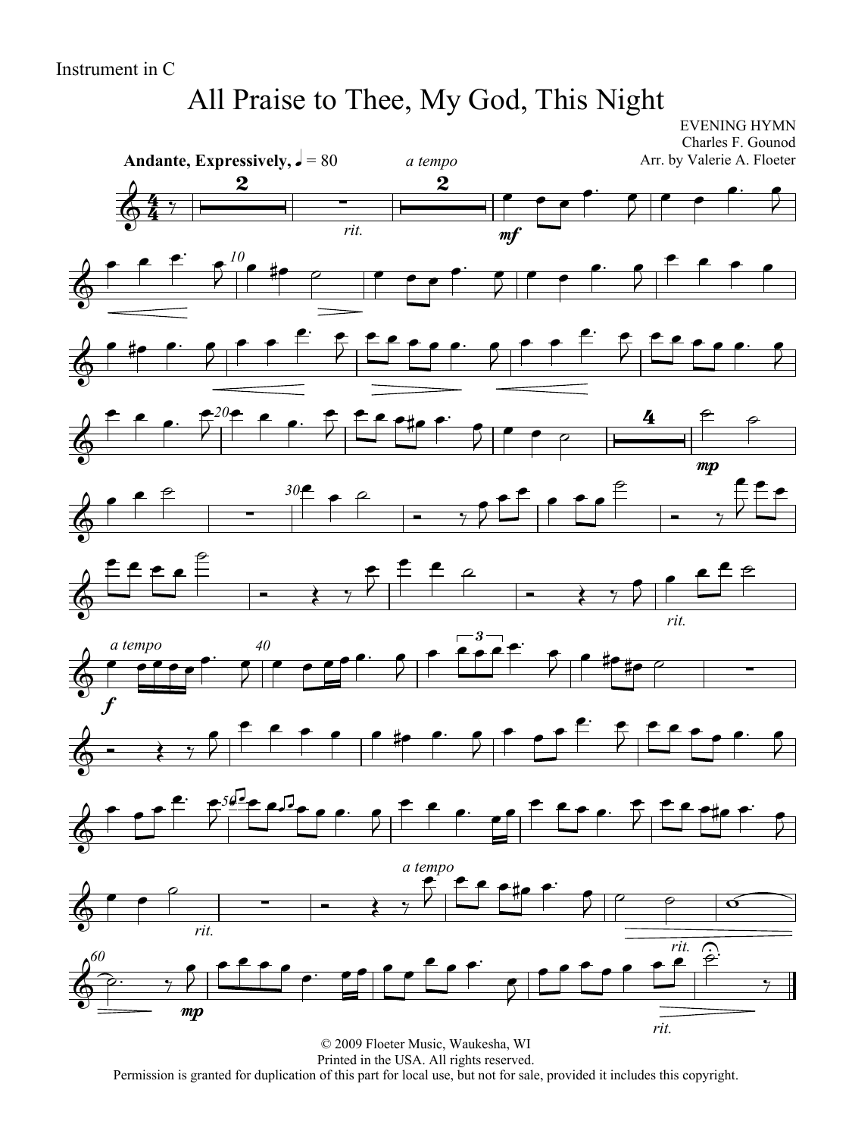# All Praise to Thee, My God, This Night

EVENING HYMN Charles F. Gounod Arr. by Valerie A. Floeter

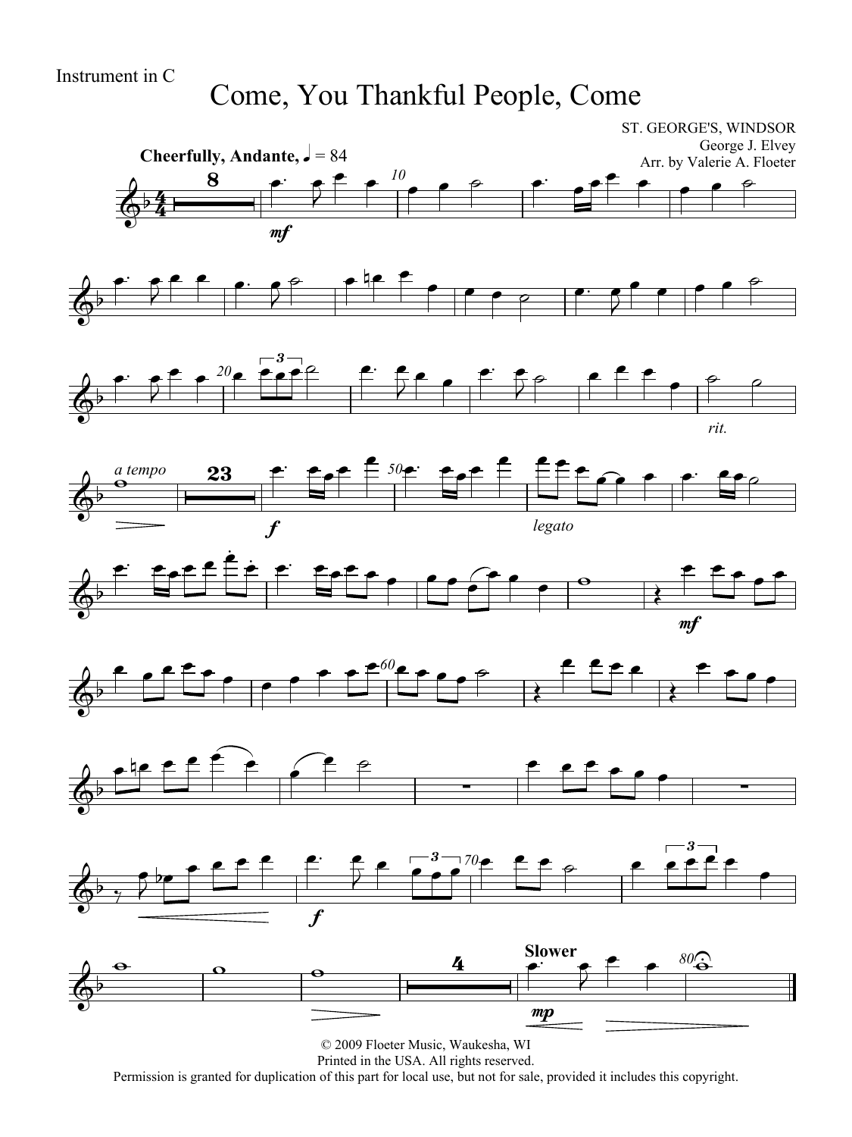Come, You Thankful People, Come

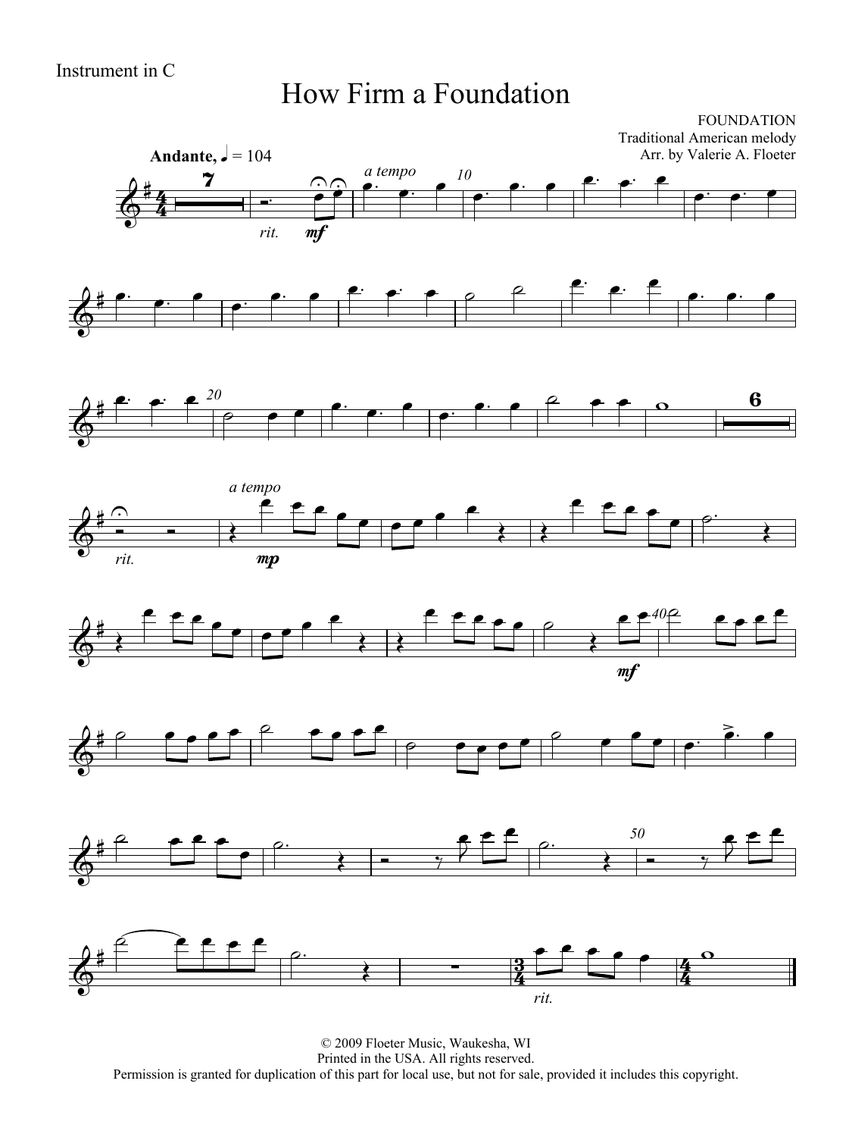### How Firm a Foundation

FOUNDATION Traditional American melody Arr. by Valerie A. Floeter













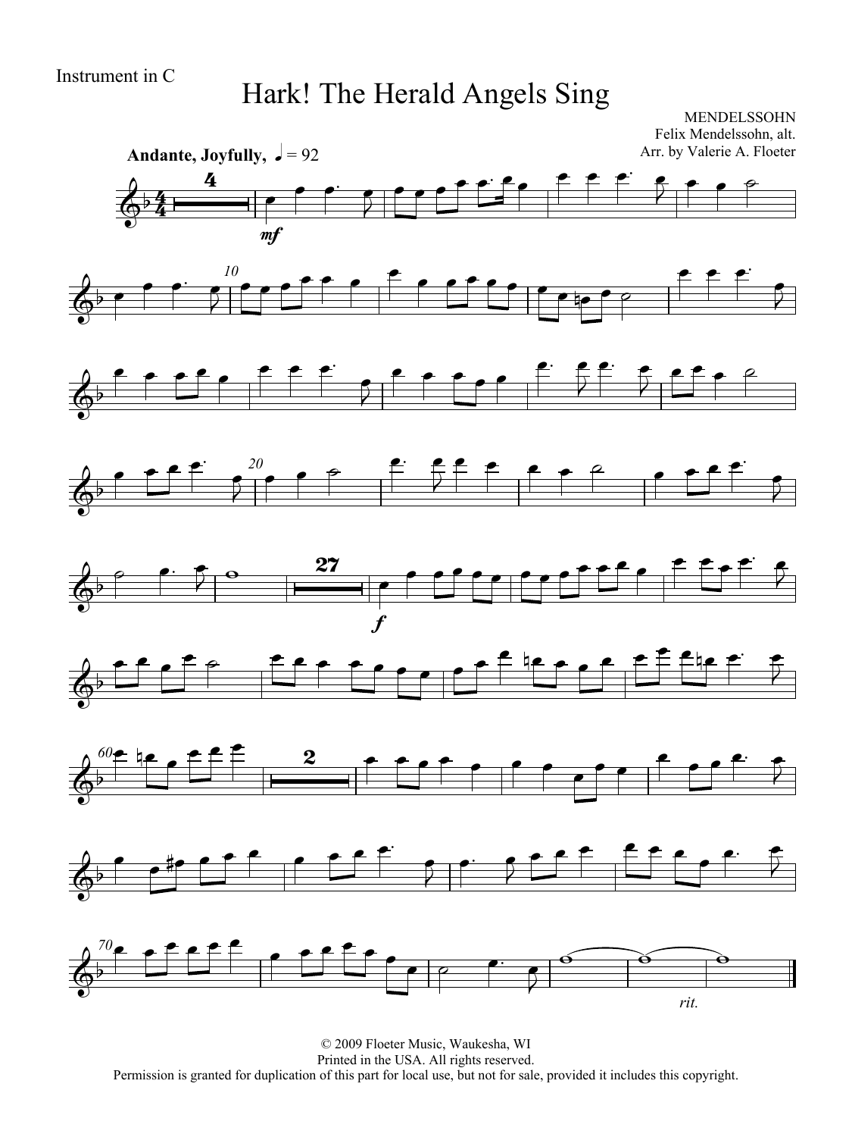## Hark! The Herald Angels Sing

MENDELSSOHN Felix Mendelssohn, alt. Arr. by Valerie A. Floeter

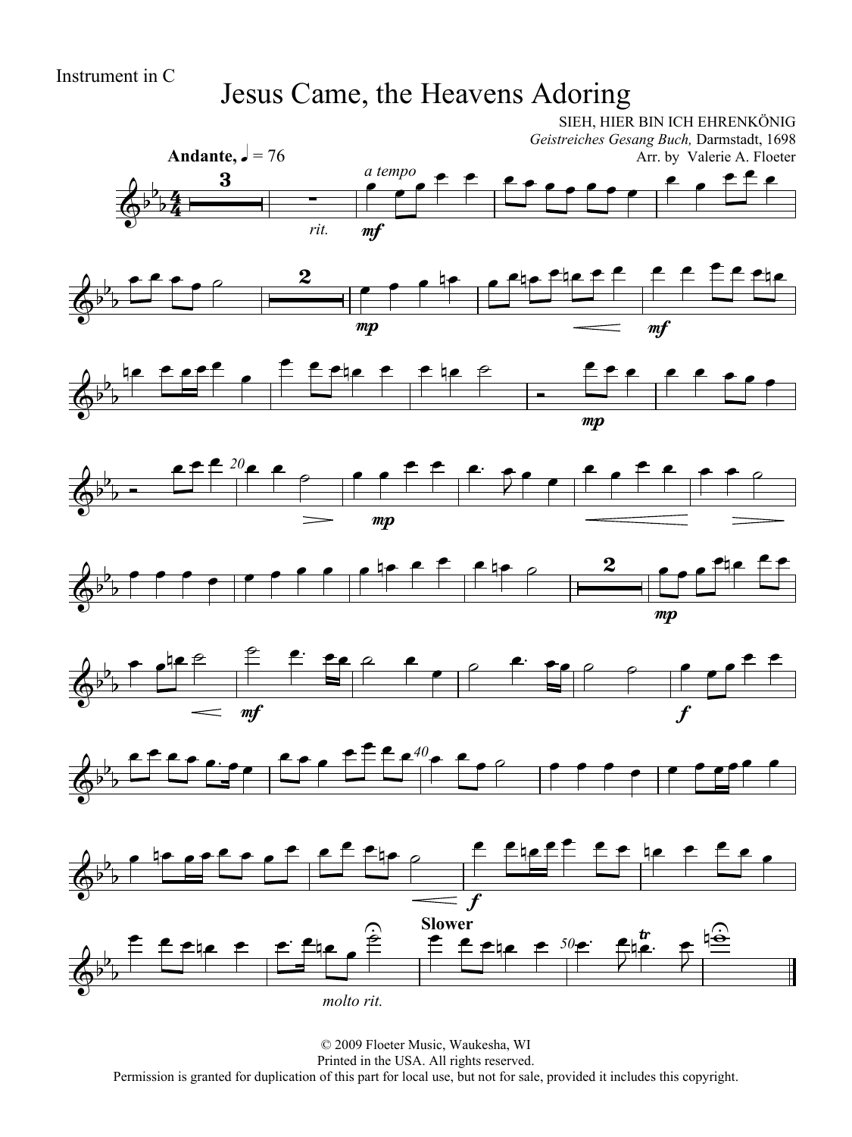## Jesus Came, the Heavens Adoring













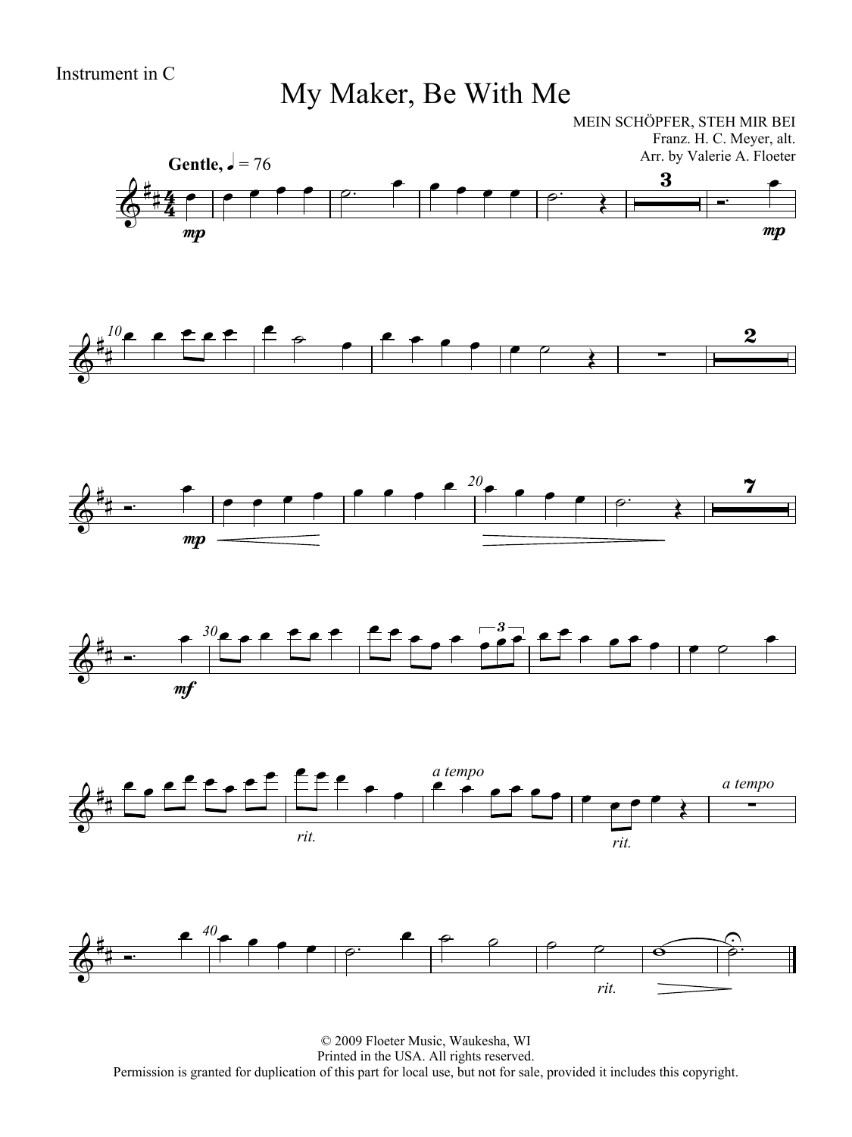My Maker, Be With Me

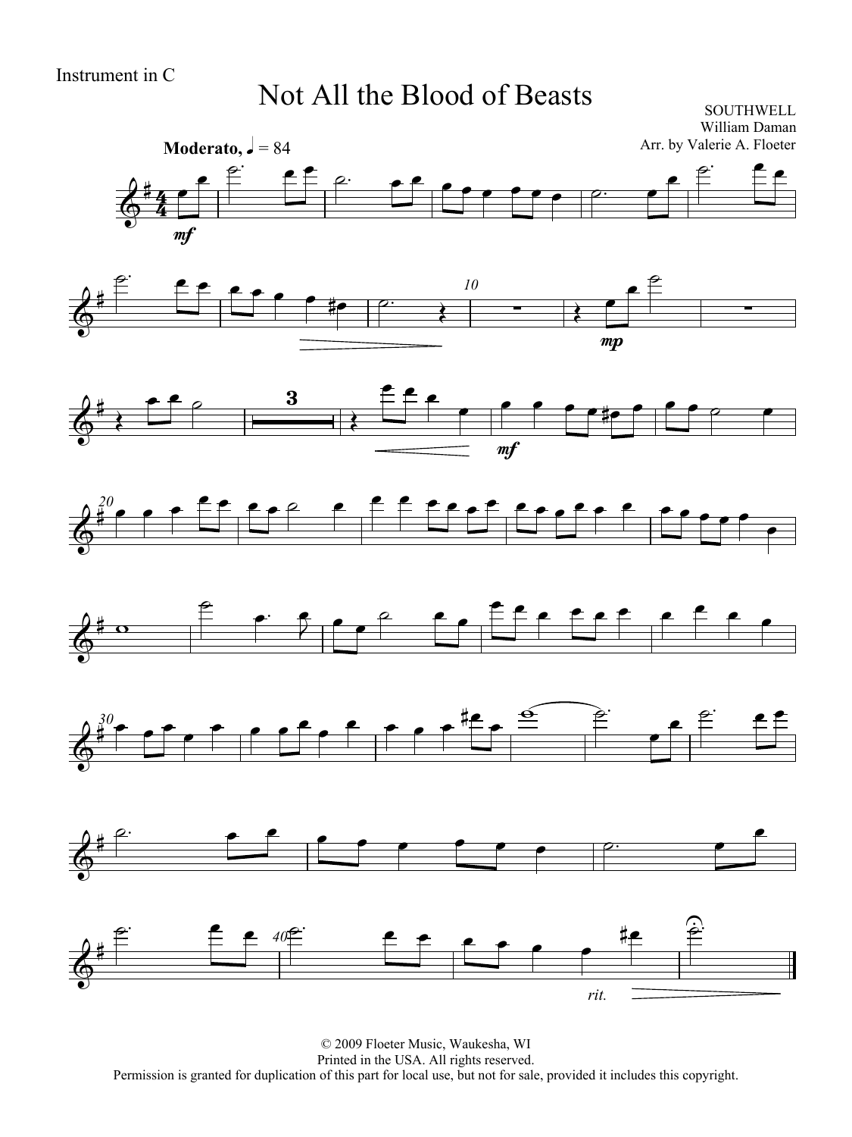### Not All the Blood of Beasts

SOUTHWELL William Daman Arr. by Valerie A. Floeter















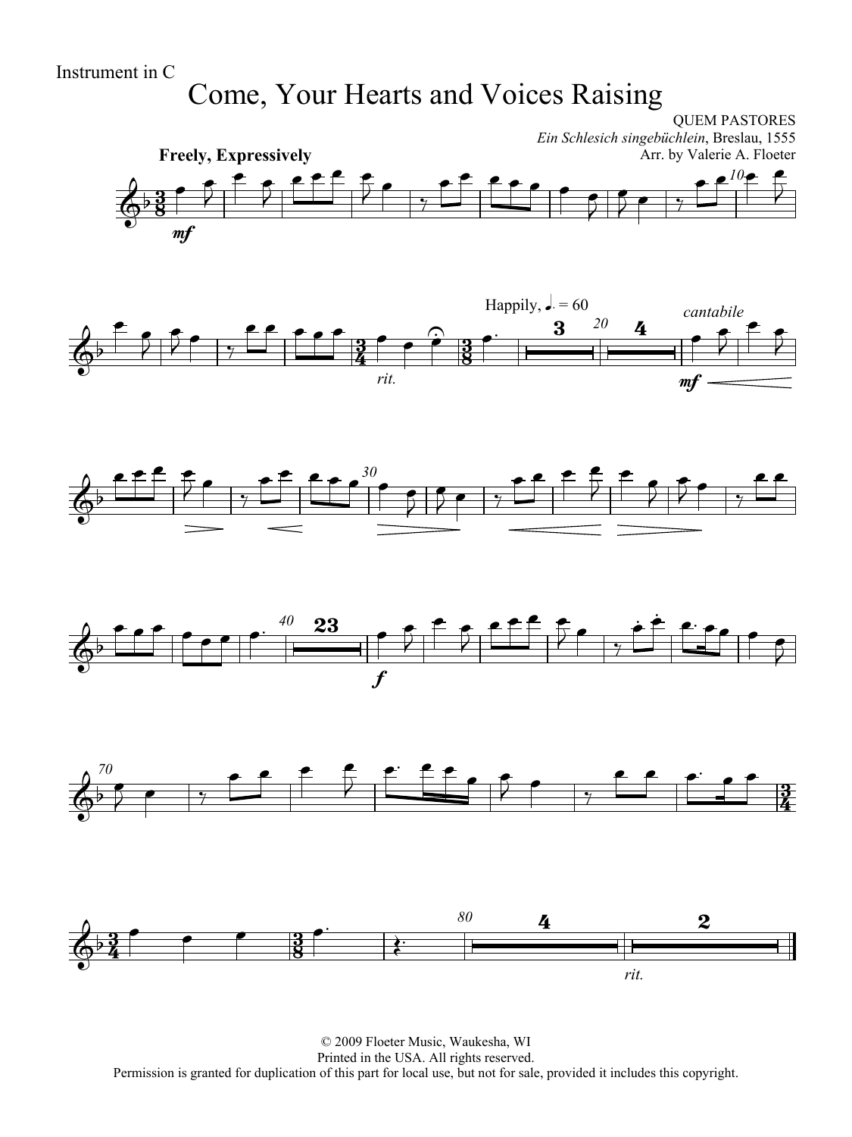# Come, Your Hearts and Voices Raising

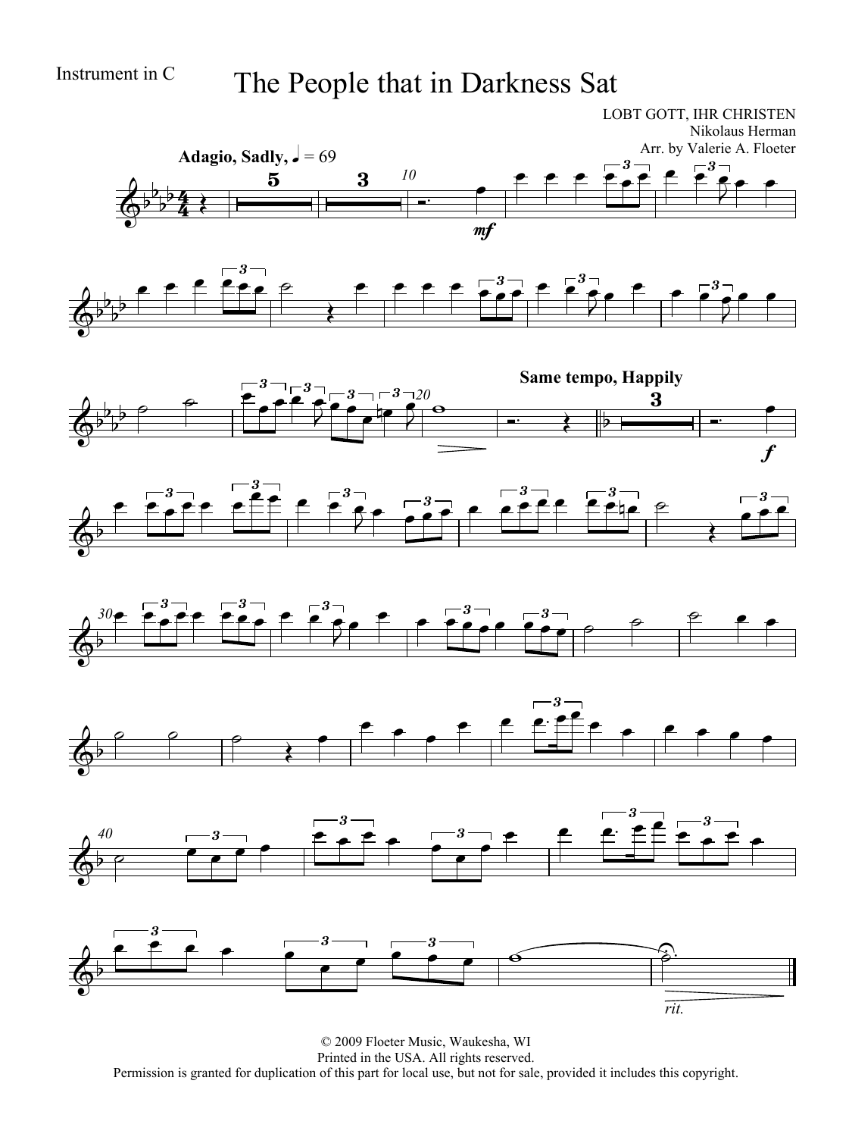# Instrument in C The People that in Darkness Sat